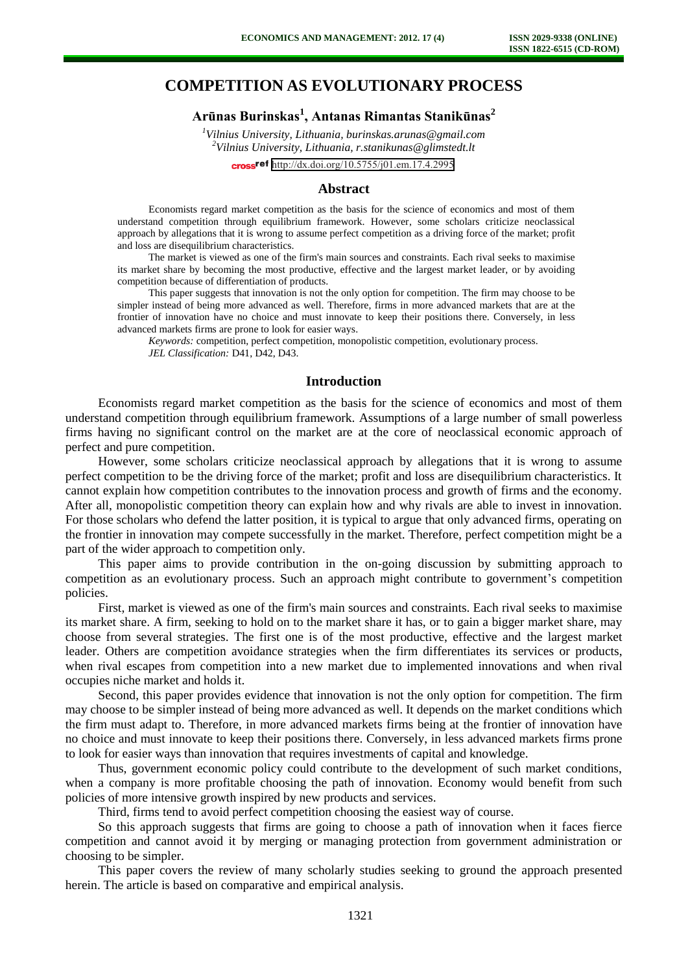# **COMPETITION AS EVOLUTIONARY PROCESS**

# **Arūnas Burinskas<sup>1</sup> , Antanas Rimantas Stanikūnas<sup>2</sup>**

*<sup>1</sup>Vilnius University, Lithuania, [burinskas.arunas@gmail.com](mailto:burinskas.arunas@gmail.com) <sup>2</sup>Vilnius University, Lithuania, r.stanikunas@glimstedt.lt* cross<sup>ref</sup> <http://dx.doi.org/10.5755/j01.em.17.4.2995>

## **Abstract**

Economists regard market competition as the basis for the science of economics and most of them understand competition through equilibrium framework. However, some scholars criticize neoclassical approach by allegations that it is wrong to assume perfect competition as a driving force of the market; profit and loss are disequilibrium characteristics.

The market is viewed as one of the firm's main sources and constraints. Each rival seeks to maximise its market share by becoming the most productive, effective and the largest market leader, or by avoiding competition because of differentiation of products.

This paper suggests that innovation is not the only option for competition. The firm may choose to be simpler instead of being more advanced as well. Therefore, firms in more advanced markets that are at the frontier of innovation have no choice and must innovate to keep their positions there. Conversely, in less advanced markets firms are prone to look for easier ways.

*Keywords:* competition, perfect competition, monopolistic competition, evolutionary process. *JEL Classification:* D41, D42, D43.

#### **Introduction**

Economists regard market competition as the basis for the science of economics and most of them understand competition through equilibrium framework. Assumptions of a large number of small powerless firms having no significant control on the market are at the core of neoclassical economic approach of perfect and pure competition.

However, some scholars criticize neoclassical approach by allegations that it is wrong to assume perfect competition to be the driving force of the market; profit and loss are disequilibrium characteristics. It cannot explain how competition contributes to the innovation process and growth of firms and the economy. After all, monopolistic competition theory can explain how and why rivals are able to invest in innovation. For those scholars who defend the latter position, it is typical to argue that only advanced firms, operating on the frontier in innovation may compete successfully in the market. Therefore, perfect competition might be a part of the wider approach to competition only.

This paper aims to provide contribution in the on-going discussion by submitting approach to competition as an evolutionary process. Such an approach might contribute to government's competition policies.

First, market is viewed as one of the firm's main sources and constraints. Each rival seeks to maximise its market share. A firm, seeking to hold on to the market share it has, or to gain a bigger market share, may choose from several strategies. The first one is of the most productive, effective and the largest market leader. Others are competition avoidance strategies when the firm differentiates its services or products, when rival escapes from competition into a new market due to implemented innovations and when rival occupies niche market and holds it.

Second, this paper provides evidence that innovation is not the only option for competition. The firm may choose to be simpler instead of being more advanced as well. It depends on the market conditions which the firm must adapt to. Therefore, in more advanced markets firms being at the frontier of innovation have no choice and must innovate to keep their positions there. Conversely, in less advanced markets firms prone to look for easier ways than innovation that requires investments of capital and knowledge.

Thus, government economic policy could contribute to the development of such market conditions, when a company is more profitable choosing the path of innovation. Economy would benefit from such policies of more intensive growth inspired by new products and services.

Third, firms tend to avoid perfect competition choosing the easiest way of course.

So this approach suggests that firms are going to choose a path of innovation when it faces fierce competition and cannot avoid it by merging or managing protection from government administration or choosing to be simpler.

This paper covers the review of many scholarly studies seeking to ground the approach presented herein. The article is based on comparative and empirical analysis.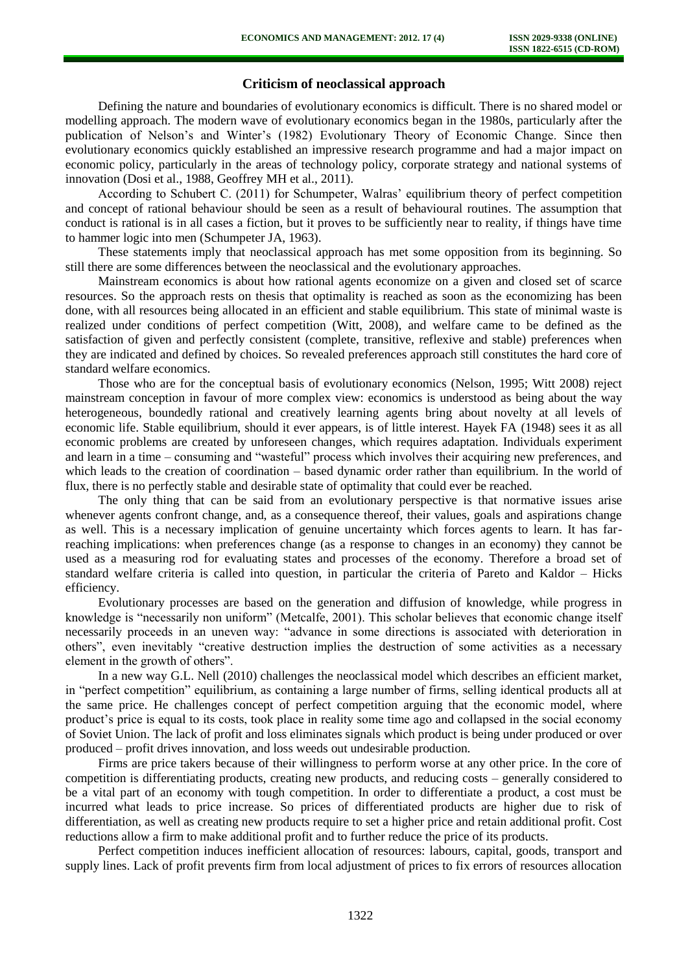# **Criticism of neoclassical approach**

Defining the nature and boundaries of evolutionary economics is difficult. There is no shared model or modelling approach. The modern wave of evolutionary economics began in the 1980s, particularly after the publication of Nelson's and Winter's (1982) Evolutionary Theory of Economic Change. Since then evolutionary economics quickly established an impressive research programme and had a major impact on economic policy, particularly in the areas of technology policy, corporate strategy and national systems of innovation (Dosi et al., 1988, Geoffrey MH et al., 2011).

According to Schubert C. (2011) for Schumpeter, Walras' equilibrium theory of perfect competition and concept of rational behaviour should be seen as a result of behavioural routines. The assumption that conduct is rational is in all cases a fiction, but it proves to be sufficiently near to reality, if things have time to hammer logic into men (Schumpeter JA, 1963).

These statements imply that neoclassical approach has met some opposition from its beginning. So still there are some differences between the neoclassical and the evolutionary approaches.

Mainstream economics is about how rational agents economize on a given and closed set of scarce resources. So the approach rests on thesis that optimality is reached as soon as the economizing has been done, with all resources being allocated in an efficient and stable equilibrium. This state of minimal waste is realized under conditions of perfect competition (Witt, 2008), and welfare came to be defined as the satisfaction of given and perfectly consistent (complete, transitive, reflexive and stable) preferences when they are indicated and defined by choices. So revealed preferences approach still constitutes the hard core of standard welfare economics.

Those who are for the conceptual basis of evolutionary economics (Nelson, 1995; Witt 2008) reject mainstream conception in favour of more complex view: economics is understood as being about the way heterogeneous, boundedly rational and creatively learning agents bring about novelty at all levels of economic life. Stable equilibrium, should it ever appears, is of little interest. Hayek FA (1948) sees it as all economic problems are created by unforeseen changes, which requires adaptation. Individuals experiment and learn in a time – consuming and "wasteful" process which involves their acquiring new preferences, and which leads to the creation of coordination – based dynamic order rather than equilibrium. In the world of flux, there is no perfectly stable and desirable state of optimality that could ever be reached.

The only thing that can be said from an evolutionary perspective is that normative issues arise whenever agents confront change, and, as a consequence thereof, their values, goals and aspirations change as well. This is a necessary implication of genuine uncertainty which forces agents to learn. It has farreaching implications: when preferences change (as a response to changes in an economy) they cannot be used as a measuring rod for evaluating states and processes of the economy. Therefore a broad set of standard welfare criteria is called into question, in particular the criteria of Pareto and Kaldor – Hicks efficiency.

Evolutionary processes are based on the generation and diffusion of knowledge, while progress in knowledge is "necessarily non uniform" (Metcalfe, 2001). This scholar believes that economic change itself necessarily proceeds in an uneven way: "advance in some directions is associated with deterioration in others", even inevitably "creative destruction implies the destruction of some activities as a necessary element in the growth of others".

In a new way G.L. Nell (2010) challenges the neoclassical model which describes an efficient market, in "perfect competition" equilibrium, as containing a large number of firms, selling identical products all at the same price. He challenges concept of perfect competition arguing that the economic model, where product's price is equal to its costs, took place in reality some time ago and collapsed in the social economy of Soviet Union. The lack of profit and loss eliminates signals which product is being under produced or over produced – profit drives innovation, and loss weeds out undesirable production.

Firms are price takers because of their willingness to perform worse at any other price. In the core of competition is differentiating products, creating new products, and reducing costs – generally considered to be a vital part of an economy with tough competition. In order to differentiate a product, a cost must be incurred what leads to price increase. So prices of differentiated products are higher due to risk of differentiation, as well as creating new products require to set a higher price and retain additional profit. Cost reductions allow a firm to make additional profit and to further reduce the price of its products.

Perfect competition induces inefficient allocation of resources: labours, capital, goods, transport and supply lines. Lack of profit prevents firm from local adjustment of prices to fix errors of resources allocation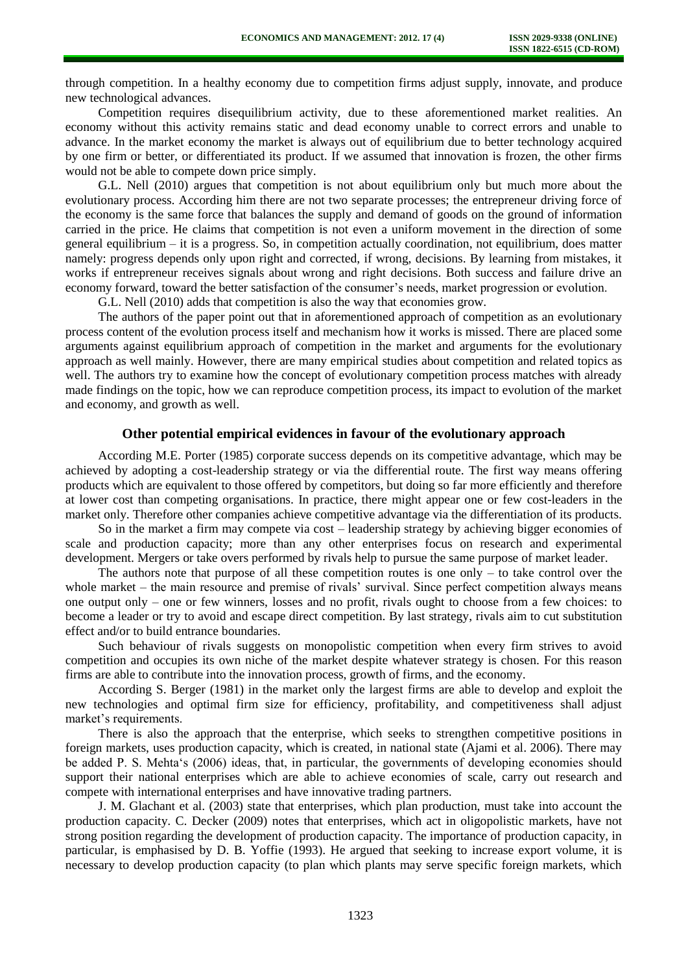through competition. In a healthy economy due to competition firms adjust supply, innovate, and produce new technological advances.

Competition requires disequilibrium activity, due to these aforementioned market realities. An economy without this activity remains static and dead economy unable to correct errors and unable to advance. In the market economy the market is always out of equilibrium due to better technology acquired by one firm or better, or differentiated its product. If we assumed that innovation is frozen, the other firms would not be able to compete down price simply.

G.L. Nell (2010) argues that competition is not about equilibrium only but much more about the evolutionary process. According him there are not two separate processes; the entrepreneur driving force of the economy is the same force that balances the supply and demand of goods on the ground of information carried in the price. He claims that competition is not even a uniform movement in the direction of some general equilibrium – it is a progress. So, in competition actually coordination, not equilibrium, does matter namely: progress depends only upon right and corrected, if wrong, decisions. By learning from mistakes, it works if entrepreneur receives signals about wrong and right decisions. Both success and failure drive an economy forward, toward the better satisfaction of the consumer's needs, market progression or evolution.

G.L. Nell (2010) adds that competition is also the way that economies grow.

The authors of the paper point out that in aforementioned approach of competition as an evolutionary process content of the evolution process itself and mechanism how it works is missed. There are placed some arguments against equilibrium approach of competition in the market and arguments for the evolutionary approach as well mainly. However, there are many empirical studies about competition and related topics as well. The authors try to examine how the concept of evolutionary competition process matches with already made findings on the topic, how we can reproduce competition process, its impact to evolution of the market and economy, and growth as well.

## **Other potential empirical evidences in favour of the evolutionary approach**

According M.E. Porter (1985) corporate success depends on its competitive advantage, which may be achieved by adopting a cost-leadership strategy or via the differential route. The first way means offering products which are equivalent to those offered by competitors, but doing so far more efficiently and therefore at lower cost than competing organisations. In practice, there might appear one or few cost-leaders in the market only. Therefore other companies achieve competitive advantage via the differentiation of its products.

So in the market a firm may compete via cost – leadership strategy by achieving bigger economies of scale and production capacity; more than any other enterprises focus on research and experimental development. Mergers or take overs performed by rivals help to pursue the same purpose of market leader.

The authors note that purpose of all these competition routes is one only  $-$  to take control over the whole market – the main resource and premise of rivals' survival. Since perfect competition always means one output only – one or few winners, losses and no profit, rivals ought to choose from a few choices: to become a leader or try to avoid and escape direct competition. By last strategy, rivals aim to cut substitution effect and/or to build entrance boundaries.

Such behaviour of rivals suggests on monopolistic competition when every firm strives to avoid competition and occupies its own niche of the market despite whatever strategy is chosen. For this reason firms are able to contribute into the innovation process, growth of firms, and the economy.

According S. Berger (1981) in the market only the largest firms are able to develop and exploit the new technologies and optimal firm size for efficiency, profitability, and competitiveness shall adjust market's requirements.

There is also the approach that the enterprise, which seeks to strengthen competitive positions in foreign markets, uses production capacity, which is created, in national state (Ajami et al. 2006). There may be added P. S. Mehta's (2006) ideas, that, in particular, the governments of developing economies should support their national enterprises which are able to achieve economies of scale, carry out research and compete with international enterprises and have innovative trading partners.

J. M. Glachant et al. (2003) state that enterprises, which plan production, must take into account the production capacity. C. Decker (2009) notes that enterprises, which act in oligopolistic markets, have not strong position regarding the development of production capacity. The importance of production capacity, in particular, is emphasised by D. B. Yoffie (1993). He argued that seeking to increase export volume, it is necessary to develop production capacity (to plan which plants may serve specific foreign markets, which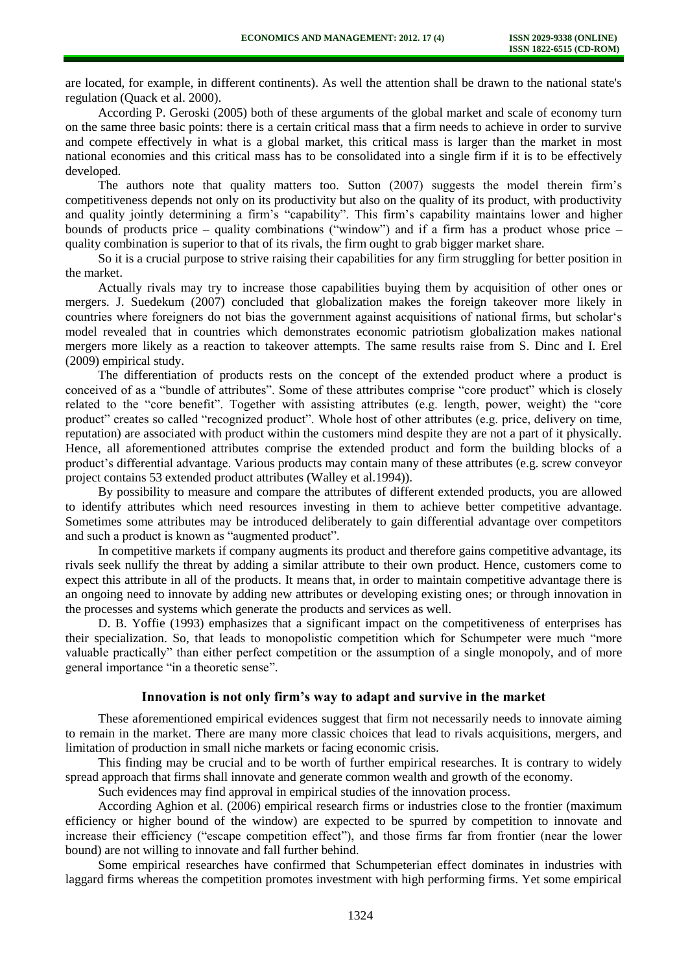are located, for example, in different continents). As well the attention shall be drawn to the national state's regulation (Quack et al. 2000).

According P. Geroski (2005) both of these arguments of the global market and scale of economy turn on the same three basic points: there is a certain critical mass that a firm needs to achieve in order to survive and compete effectively in what is a global market, this critical mass is larger than the market in most national economies and this critical mass has to be consolidated into a single firm if it is to be effectively developed.

The authors note that quality matters too. Sutton (2007) suggests the model therein firm's competitiveness depends not only on its productivity but also on the quality of its product, with productivity and quality jointly determining a firm's "capability". This firm's capability maintains lower and higher bounds of products price – quality combinations ("window") and if a firm has a product whose price – quality combination is superior to that of its rivals, the firm ought to grab bigger market share.

So it is a crucial purpose to strive raising their capabilities for any firm struggling for better position in the market.

Actually rivals may try to increase those capabilities buying them by acquisition of other ones or mergers. J. Suedekum (2007) concluded that globalization makes the foreign takeover more likely in countries where foreigners do not bias the government against acquisitions of national firms, but scholar's model revealed that in countries which demonstrates economic patriotism globalization makes national mergers more likely as a reaction to takeover attempts. The same results raise from S. Dinc and I. Erel (2009) empirical study.

The differentiation of products rests on the concept of the extended product where a product is conceived of as a "bundle of attributes". Some of these attributes comprise "core product" which is closely related to the "core benefit". Together with assisting attributes (e.g. length, power, weight) the "core product" creates so called "recognized product". Whole host of other attributes (e.g. price, delivery on time, reputation) are associated with product within the customers mind despite they are not a part of it physically. Hence, all aforementioned attributes comprise the extended product and form the building blocks of a product's differential advantage. Various products may contain many of these attributes (e.g. screw conveyor project contains 53 extended product attributes (Walley et al.1994)).

By possibility to measure and compare the attributes of different extended products, you are allowed to identify attributes which need resources investing in them to achieve better competitive advantage. Sometimes some attributes may be introduced deliberately to gain differential advantage over competitors and such a product is known as "augmented product".

In competitive markets if company augments its product and therefore gains competitive advantage, its rivals seek nullify the threat by adding a similar attribute to their own product. Hence, customers come to expect this attribute in all of the products. It means that, in order to maintain competitive advantage there is an ongoing need to innovate by adding new attributes or developing existing ones; or through innovation in the processes and systems which generate the products and services as well.

D. B. Yoffie (1993) emphasizes that a significant impact on the competitiveness of enterprises has their specialization. So, that leads to monopolistic competition which for Schumpeter were much "more valuable practically" than either perfect competition or the assumption of a single monopoly, and of more general importance "in a theoretic sense".

## **Innovation is not only firm's way to adapt and survive in the market**

These aforementioned empirical evidences suggest that firm not necessarily needs to innovate aiming to remain in the market. There are many more classic choices that lead to rivals acquisitions, mergers, and limitation of production in small niche markets or facing economic crisis.

This finding may be crucial and to be worth of further empirical researches. It is contrary to widely spread approach that firms shall innovate and generate common wealth and growth of the economy.

Such evidences may find approval in empirical studies of the innovation process.

According Aghion et al. (2006) empirical research firms or industries close to the frontier (maximum efficiency or higher bound of the window) are expected to be spurred by competition to innovate and increase their efficiency ("escape competition effect"), and those firms far from frontier (near the lower bound) are not willing to innovate and fall further behind.

Some empirical researches have confirmed that Schumpeterian effect dominates in industries with laggard firms whereas the competition promotes investment with high performing firms. Yet some empirical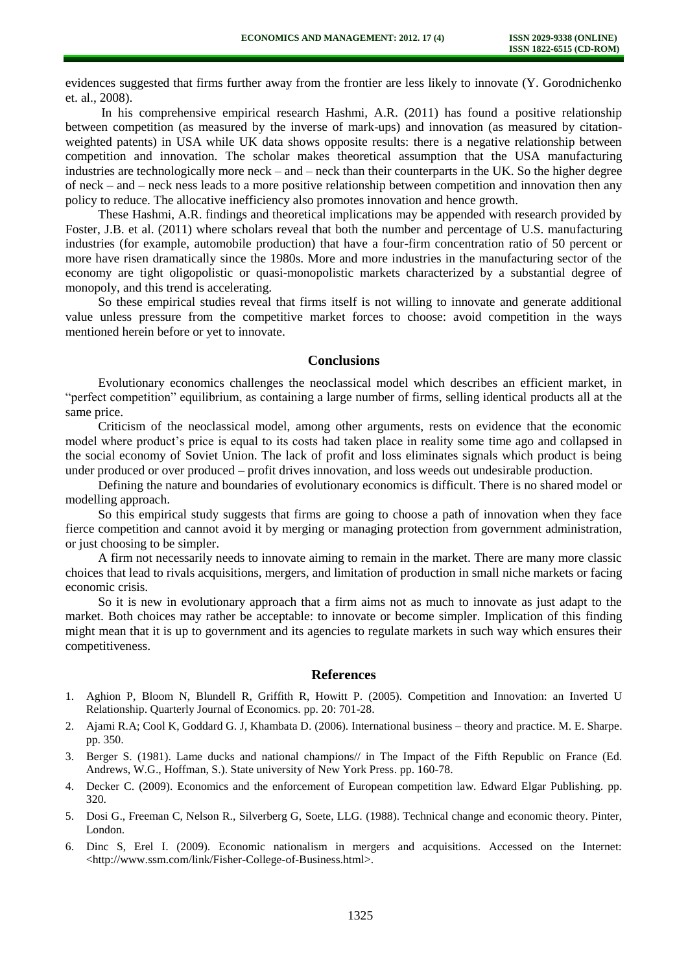evidences suggested that firms further away from the frontier are less likely to innovate (Y. Gorodnichenko et. al., 2008).

In his comprehensive empirical research Hashmi, A.R. (2011) has found a positive relationship between competition (as measured by the inverse of mark-ups) and innovation (as measured by citationweighted patents) in USA while UK data shows opposite results: there is a negative relationship between competition and innovation. The scholar makes theoretical assumption that the USA manufacturing industries are technologically more neck – and – neck than their counterparts in the UK. So the higher degree of neck – and – neck ness leads to a more positive relationship between competition and innovation then any policy to reduce. The allocative inefficiency also promotes innovation and hence growth.

These Hashmi, A.R. findings and theoretical implications may be appended with research provided by Foster, J.B. et al. (2011) where scholars reveal that both the number and percentage of U.S. manufacturing industries (for example, automobile production) that have a four-firm concentration ratio of 50 percent or more have risen dramatically since the 1980s. More and more industries in the manufacturing sector of the economy are tight oligopolistic or quasi-monopolistic markets characterized by a substantial degree of monopoly, and this trend is accelerating.

So these empirical studies reveal that firms itself is not willing to innovate and generate additional value unless pressure from the competitive market forces to choose: avoid competition in the ways mentioned herein before or yet to innovate.

### **Conclusions**

Evolutionary economics challenges the neoclassical model which describes an efficient market, in "perfect competition" equilibrium, as containing a large number of firms, selling identical products all at the same price.

Criticism of the neoclassical model, among other arguments, rests on evidence that the economic model where product's price is equal to its costs had taken place in reality some time ago and collapsed in the social economy of Soviet Union. The lack of profit and loss eliminates signals which product is being under produced or over produced – profit drives innovation, and loss weeds out undesirable production.

Defining the nature and boundaries of evolutionary economics is difficult. There is no shared model or modelling approach.

So this empirical study suggests that firms are going to choose a path of innovation when they face fierce competition and cannot avoid it by merging or managing protection from government administration, or just choosing to be simpler.

A firm not necessarily needs to innovate aiming to remain in the market. There are many more classic choices that lead to rivals acquisitions, mergers, and limitation of production in small niche markets or facing economic crisis.

So it is new in evolutionary approach that a firm aims not as much to innovate as just adapt to the market. Both choices may rather be acceptable: to innovate or become simpler. Implication of this finding might mean that it is up to government and its agencies to regulate markets in such way which ensures their competitiveness.

### **References**

- 1. Aghion P, Bloom N, Blundell R, Griffith R, Howitt P. (2005). Competition and Innovation: an Inverted U Relationship. Quarterly Journal of Economics. pp. 20: 701-28.
- 2. Ajami R.A; Cool K, Goddard G. J, Khambata D. (2006). International business theory and practice. M. E. Sharpe. pp. 350.
- 3. Berger S. (1981). Lame ducks and national champions// in The Impact of the Fifth Republic on France (Ed. Andrews, W.G., Hoffman, S.). State university of New York Press. pp. 160-78.
- 4. Decker C. (2009). Economics and the enforcement of European competition law. Edward Elgar Publishing. pp. 320.
- 5. Dosi G., Freeman C, Nelson R., Silverberg G, Soete, LLG. (1988). Technical change and economic theory. Pinter, London.
- 6. Dinc S, Erel I. (2009). Economic nationalism in mergers and acquisitions. Accessed on the Internet: <http://www.ssm.com/link/Fisher-College-of-Business.html>.